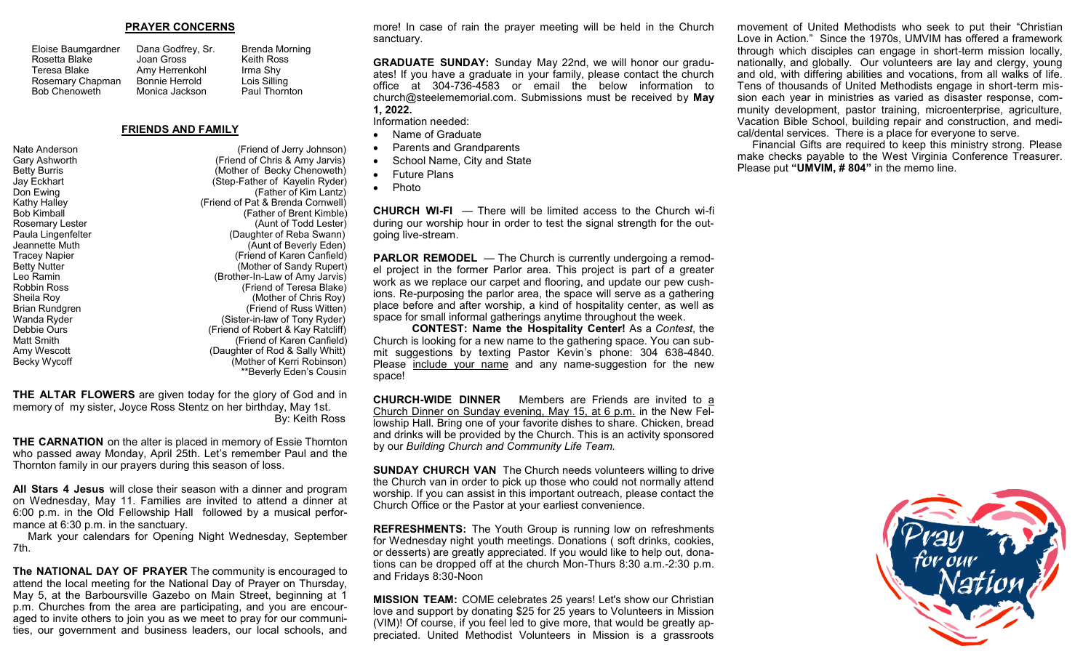#### **PRAYER CONCERNS**

| Dana Godfrey, S       |
|-----------------------|
| Joan Gross            |
| Amy Herrenkohl        |
| <b>Bonnie Herrold</b> |
| Monica Jackson        |
|                       |

ey, Sr. Brenda Morning Keith Ross Irma Shy Lois Silling Paul Thornton

#### **FRIENDS AND FAMILY**

Nate Anderson (Friend of Jerry Johnson)

Gary Ashworth (Friend of Chris & Amy Jarvis) Betty Burris (Mother of Becky Chenoweth)<br>
Jay Eckhart (Step-Father of Kayelin Ryder) (Step-Father of Kayelin Ryder) Don Ewing (Father of Kim Lantz) Kathy Halley (Friend of Pat & Brenda Cornwell) (Father of Brent Kimble) Rosemary Lester (Aunt of Todd Lester) Paula Lingenfelter (Daughter of Reba Swann) Jeannette Muth (Aunt of Beverly Eden) Tracey Napier (Friend of Karen Canfield) Betty Nutter **(Mother of Sandy Rupert) Betty** Nutter (Mother of Sandy Rupert) Leo Ramin (Brother-In-Law of Amy Jarvis) Robbin Ross (Friend of Teresa Blake) Sheila Roy (Mother of Chris Roy) Brian Rundgren (Friend of Russ Witten) Wanda Ryder (Sister-in-law of Tony Ryder)<br>Debbie Ours (Friend of Robert & Kay Ratcliff) Debbie Ours (Friend of Robert & Kay Ratcliff) (Friend of Karen Canfield) Amy Wescott (Daughter of Rod & Sally Whitt) Becky Wycoff **(Mother of Kerri Robinson)** \*\*Beverly Eden's Cousin

**THE ALTAR FLOWERS** are given today for the glory of God and in memory of my sister, Joyce Ross Stentz on her birthday, May 1st. By: Keith Ross

**THE CARNATION** on the alter is placed in memory of Essie Thornton who passed away Monday, April 25th. Let's remember Paul and the Thornton family in our prayers during this season of loss.

**All Stars 4 Jesus** will close their season with a dinner and program on Wednesday, May 11. Families are invited to attend a dinner at 6:00 p.m. in the Old Fellowship Hall followed by a musical performance at 6:30 p.m. in the sanctuary.

 Mark your calendars for Opening Night Wednesday, September 7th.

**The NATIONAL DAY OF PRAYER** The community is encouraged to attend the local meeting for the National Day of Prayer on Thursday, May 5, at the Barboursville Gazebo on Main Street, beginning at 1 p.m. Churches from the area are participating, and you are encouraged to invite others to join you as we meet to pray for our communities, our government and business leaders, our local schools, and more! In case of rain the prayer meeting will be held in the Church sanctuary.

**GRADUATE SUNDAY:** Sunday May 22nd, we will honor our graduates! If you have a graduate in your family, please contact the church office at 304-736-4583 or email the below information to church@steelememorial.com. Submissions must be received by **May 1, 2022.**

Information needed:

- Name of Graduate
- Parents and Grandparents
- School Name, City and State
- Future Plans
- Photo

**CHURCH WI-FI** — There will be limited access to the Church wi-fi during our worship hour in order to test the signal strength for the outgoing live-stream.

**PARLOR REMODEL** — The Church is currently undergoing a remodel project in the former Parlor area. This project is part of a greater work as we replace our carpet and flooring, and update our pew cushions. Re-purposing the parlor area, the space will serve as a gathering place before and after worship, a kind of hospitality center, as well as space for small informal gatherings anytime throughout the week.

**CONTEST: Name the Hospitality Center!** As a *Contest*, the Church is looking for a new name to the gathering space. You can submit suggestions by texting Pastor Kevin's phone: 304 638-4840. Please include your name and any name-suggestion for the new space!

**CHURCH-WIDE DINNER** Members are Friends are invited to a Church Dinner on Sunday evening, May 15, at 6 p.m. in the New Fellowship Hall. Bring one of your favorite dishes to share. Chicken, bread and drinks will be provided by the Church. This is an activity sponsored by our *Building Church and Community Life Team.*

**SUNDAY CHURCH VAN** The Church needs volunteers willing to drive the Church van in order to pick up those who could not normally attend worship. If you can assist in this important outreach, please contact the Church Office or the Pastor at your earliest convenience.

**REFRESHMENTS:** The Youth Group is running low on refreshments for Wednesday night youth meetings. Donations ( soft drinks, cookies, or desserts) are greatly appreciated. If you would like to help out, donations can be dropped off at the church Mon-Thurs 8:30 a.m.-2:30 p.m. and Fridays 8:30-Noon

**MISSION TEAM:** COME celebrates 25 years! Let's show our Christian love and support by donating \$25 for 25 years to Volunteers in Mission (VIM)! Of course, if you feel led to give more, that would be greatly appreciated. United Methodist Volunteers in Mission is a grassroots

movement of United Methodists who seek to put their "Christian Love in Action." Since the 1970s, UMVIM has offered a framework through which disciples can engage in short-term mission locally, nationally, and globally. Our volunteers are lay and clergy, young and old, with differing abilities and vocations, from all walks of life. Tens of thousands of United Methodists engage in short-term mission each year in ministries as varied as disaster response, community development, pastor training, microenterprise, agriculture, Vacation Bible School, building repair and construction, and medical/dental services. There is a place for everyone to serve.

 Financial Gifts are required to keep this ministry strong. Please make checks payable to the West Virginia Conference Treasurer. Please put **"UMVIM, # 804"** in the memo line.